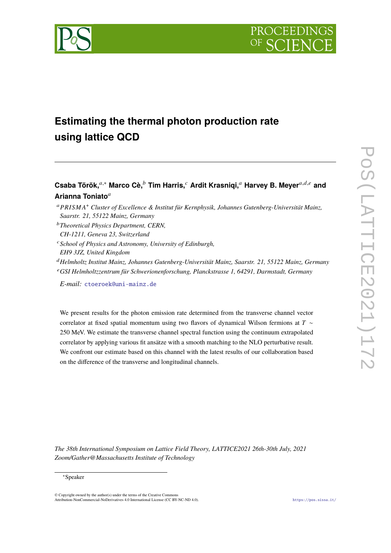

# **Estimating the thermal photon production rate using lattice QCD**

# **Csaba Török,**𝑎,<sup>∗</sup> **Marco Cè,**<sup>𝑏</sup> **Tim Harris,**<sup>𝑐</sup> **Ardit Krasniqi,**<sup>𝑎</sup> **Harvey B. Meyer**𝑎,𝑑,𝑒 **and** Arianna Toniato<sup>a</sup>

- <sup>𝑎</sup>𝑃𝑅𝐼𝑆𝑀 𝐴<sup>+</sup> *Cluster of Excellence & Institut für Kernphysik, Johannes Gutenberg-Universität Mainz, Saarstr. 21, 55122 Mainz, Germany*
- <sup>𝑏</sup>*Theoretical Physics Department, CERN,*
- *CH-1211, Geneva 23, Switzerland*
- <sup>𝑐</sup>*School of Physics and Astronomy, University of Edinburgh, EH9 3JZ, United Kingdom*
- <sup>𝑑</sup>*Helmholtz Institut Mainz, Johannes Gutenberg-Universität Mainz, Saarstr. 21, 55122 Mainz, Germany* <sup>𝑒</sup>*GSI Helmholtzzentrum für Schwerionenforschung, Planckstrasse 1, 64291, Darmstadt, Germany*
- *E-mail:* [ctoeroek@uni-mainz.de](mailto:ctoeroek@uni-mainz.de)

We present results for the photon emission rate determined from the transverse channel vector correlator at fixed spatial momentum using two flavors of dynamical Wilson fermions at  $T \sim$ 250 MeV. We estimate the transverse channel spectral function using the continuum extrapolated correlator by applying various fit ansätze with a smooth matching to the NLO perturbative result. We confront our estimate based on this channel with the latest results of our collaboration based on the difference of the transverse and longitudinal channels.

*The 38th International Symposium on Lattice Field Theory, LATTICE2021 26th-30th July, 2021 Zoom/Gather@Massachusetts Institute of Technology*

#### <sup>∗</sup>Speaker

 $\odot$  Copyright owned by the author(s) under the terms of the Creative Common Attribution-NonCommercial-NoDerivatives 4.0 International License (CC BY-NC-ND 4.0). <https://pos.sissa.it/>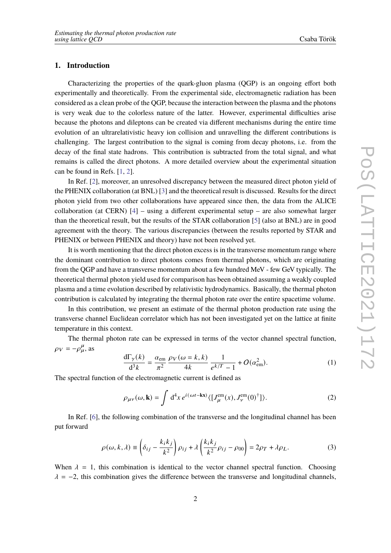# **1. Introduction**

Characterizing the properties of the quark-gluon plasma (QGP) is an ongoing effort both experimentally and theoretically. From the experimental side, electromagnetic radiation has been considered as a clean probe of the QGP, because the interaction between the plasma and the photons is very weak due to the colorless nature of the latter. However, experimental difficulties arise because the photons and dileptons can be created via different mechanisms during the entire time evolution of an ultrarelativistic heavy ion collision and unravelling the different contributions is challenging. The largest contribution to the signal is coming from decay photons, i.e. from the decay of the final state hadrons. This contribution is subtracted from the total signal, and what remains is called the direct photons. A more detailed overview about the experimental situation can be found in Refs. [\[1,](#page-7-0) [2\]](#page-7-1).

In Ref. [\[2\]](#page-7-1), moreover, an unresolved discrepancy between the measured direct photon yield of the PHENIX collaboration (at BNL) [\[3\]](#page-7-2) and the theoretical result is discussed. Results for the direct photon yield from two other collaborations have appeared since then, the data from the ALICE collaboration (at CERN)  $[4]$  – using a different experimental setup – are also somewhat larger than the theoretical result, but the results of the STAR collaboration [\[5\]](#page-7-4) (also at BNL) are in good agreement with the theory. The various discrepancies (between the results reported by STAR and PHENIX or between PHENIX and theory) have not been resolved yet.

It is worth mentioning that the direct photon excess is in the transverse momentum range where the dominant contribution to direct photons comes from thermal photons, which are originating from the QGP and have a transverse momentum about a few hundred MeV - few GeV typically. The theoretical thermal photon yield used for comparison has been obtained assuming a weakly coupled plasma and a time evolution described by relativistic hydrodynamics. Basically, the thermal photon contribution is calculated by integrating the thermal photon rate over the entire spacetime volume.

In this contribution, we present an estimate of the thermal photon production rate using the transverse channel Euclidean correlator which has not been investigated yet on the lattice at finite temperature in this context.

The thermal photon rate can be expressed in terms of the vector channel spectral function,  $\rho_V = -\rho_\mu^\mu$ , as

<span id="page-1-0"></span>
$$
\frac{d\Gamma_{\gamma}(k)}{d^3k} = \frac{\alpha_{\rm em}}{\pi^2} \frac{\rho_V(\omega = k, k)}{4k} \frac{1}{e^{k/T} - 1} + O(\alpha_{\rm em}^2). \tag{1}
$$

The spectral function of the electromagnetic current is defined as

$$
\rho_{\mu\nu}(\omega, \mathbf{k}) = \int d^4x \, e^{i(\omega t - \mathbf{k}\mathbf{x})} \langle [J_{\mu}^{\text{em}}(x), J_{\nu}^{\text{em}}(0)^{\dagger}]\rangle. \tag{2}
$$

In Ref. [\[6\]](#page-7-5), the following combination of the transverse and the longitudinal channel has been put forward

$$
\rho(\omega, k, \lambda) \equiv \left(\delta_{ij} - \frac{k_i k_j}{k^2}\right) \rho_{ij} + \lambda \left(\frac{k_i k_j}{k^2} \rho_{ij} - \rho_{00}\right) = 2\rho_T + \lambda \rho_L.
$$
\n(3)

When  $\lambda = 1$ , this combination is identical to the vector channel spectral function. Choosing  $\lambda = -2$ , this combination gives the difference between the transverse and longitudinal channels,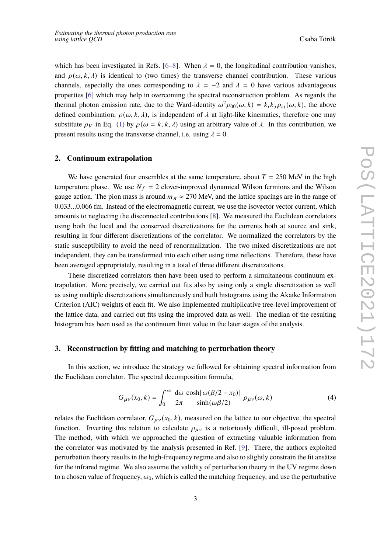which has been investigated in Refs. [\[6](#page-7-5)[–8\]](#page-7-6). When  $\lambda = 0$ , the longitudinal contribution vanishes, and  $\rho(\omega, k, \lambda)$  is identical to (two times) the transverse channel contribution. These various channels, especially the ones corresponding to  $\lambda = -2$  and  $\lambda = 0$  have various advantageous properties [\[6\]](#page-7-5) which may help in overcoming the spectral reconstruction problem. As regards the thermal photon emission rate, due to the Ward-identity  $\omega^2 \rho_{00}(\omega, k) = k_i k_j \rho_{ij}(\omega, k)$ , the above defined combination,  $\rho(\omega, k, \lambda)$ , is independent of  $\lambda$  at light-like kinematics, therefore one may substitute  $\rho_V$  in Eq. [\(1\)](#page-1-0) by  $\rho(\omega = k, k, \lambda)$  using an arbitrary value of  $\lambda$ . In this contribution, we present results using the transverse channel, i.e. using  $\lambda = 0$ .

#### **2. Continuum extrapolation**

We have generated four ensembles at the same temperature, about  $T = 250$  MeV in the high temperature phase. We use  $N_f = 2$  clover-improved dynamical Wilson fermions and the Wilson gauge action. The pion mass is around  $m_{\pi} \approx 270$  MeV, and the lattice spacings are in the range of 0.033...0.066 fm. Instead of the electromagnetic current, we use the isovector vector current, which amounts to neglecting the disconnected contributions [\[8\]](#page-7-6). We measured the Euclidean correlators using both the local and the conserved discretizations for the currents both at source and sink, resulting in four different discretizations of the correlator. We normalized the correlators by the static susceptibility to avoid the need of renormalization. The two mixed discretizations are not independent, they can be transformed into each other using time reflections. Therefore, these have been averaged appropriately, resulting in a total of three different discretizations.

These discretized correlators then have been used to perform a simultaneous continuum extrapolation. More precisely, we carried out fits also by using only a single discretization as well as using multiple discretizations simultaneously and built histograms using the Akaike Information Criterion (AIC) weights of each fit. We also implemented multiplicative tree-level improvement of the lattice data, and carried out fits using the improved data as well. The median of the resulting histogram has been used as the continuum limit value in the later stages of the analysis.

## **3. Reconstruction by fitting and matching to perturbation theory**

In this section, we introduce the strategy we followed for obtaining spectral information from the Euclidean correlator. The spectral decomposition formula,

$$
G_{\mu\nu}(x_0, k) = \int_0^\infty \frac{d\omega}{2\pi} \frac{\cosh[\omega(\beta/2 - x_0)]}{\sinh(\omega\beta/2)} \rho_{\mu\nu}(\omega, k)
$$
(4)

relates the Euclidean correlator,  $G_{\mu\nu}(x_0, k)$ , measured on the lattice to our objective, the spectral function. Inverting this relation to calculate  $\rho_{\mu\nu}$  is a notoriously difficult, ill-posed problem. The method, with which we approached the question of extracting valuable information from the correlator was motivated by the analysis presented in Ref. [\[9\]](#page-7-7). There, the authors exploited perturbation theory results in the high-frequency regime and also to slightly constrain the fit ansätze for the infrared regime. We also assume the validity of perturbation theory in the UV regime down to a chosen value of frequency,  $\omega_0$ , which is called the matching frequency, and use the perturbative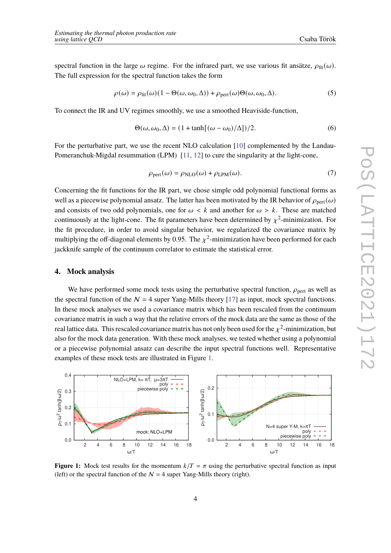spectral function in the large  $\omega$  regime. For the infrared part, we use various fit ansätze,  $\rho_{\text{fit}}(\omega)$ . The full expression for the spectral function takes the form

$$
\rho(\omega) = \rho_{\text{fit}}(\omega)(1 - \Theta(\omega, \omega_0, \Delta)) + \rho_{\text{pert}}(\omega)\Theta(\omega, \omega_0, \Delta). \tag{5}
$$

To connect the IR and UV regimes smoothly, we use a smoothed Heaviside-function,

$$
\Theta(\omega, \omega_0, \Delta) = (1 + \tanh[(\omega - \omega_0)/\Delta])/2.
$$
\n(6)

For the perturbative part, we use the recent NLO calculation [\[10\]](#page-7-8) complemented by the Landau-Pomeranchuk-Migdal resummation (LPM) [\[11,](#page-7-9) [12\]](#page-7-10) to cure the singularity at the light-cone,

$$
\rho_{\text{pert}}(\omega) = \rho_{\text{NLO}}(\omega) + \rho_{\text{LPM}}(\omega). \tag{7}
$$

Concerning the fit functions for the IR part, we chose simple odd polynomial functional forms as well as a piecewise polynomial ansatz. The latter has been motivated by the IR behavior of  $\rho_{\text{pert}}(\omega)$ and consists of two odd polynomials, one for  $\omega < k$  and another for  $\omega > k$ . These are matched continuously at the light-cone. The fit parameters have been determined by  $\chi^2$ -minimization. For the fit procedure, in order to avoid singular behavior, we regularized the covariance matrix by multiplying the off-diagonal elements by 0.95. The  $\chi^2$ -minimization have been performed for each jackknife sample of the continuum correlator to estimate the statistical error.

#### **4. Mock analysis**

We have performed some mock tests using the perturbative spectral function,  $\rho_{\text{pert}}$  as well as the spectral function of the  $N = 4$  super Yang-Mills theory [\[17\]](#page-8-0) as input, mock spectral functions. In these mock analyses we used a covariance matrix which has been rescaled from the continuum covariance matrix in such a way that the relative errors of the mock data are the same as those of the real lattice data. This rescaled covariance matrix has not only been used for the  $\chi^2$ -minimization, but also for the mock data generation. With these mock analyses, we tested whether using a polynomial or a piecewise polynomial ansatz can describe the input spectral functions well. Representative examples of these mock tests are illustrated in Figure [1.](#page-3-0)

<span id="page-3-0"></span>

**Figure 1:** Mock test results for the momentum  $k/T = \pi$  using the perturbative spectral function as input (left) or the spectral function of the  $N = 4$  super Yang-Mills theory (right).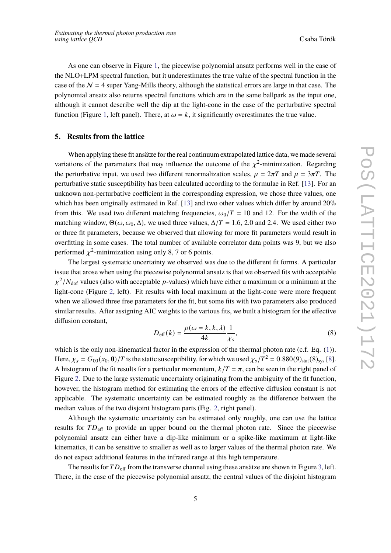As one can observe in Figure [1,](#page-3-0) the piecewise polynomial ansatz performs well in the case of the NLO+LPM spectral function, but it underestimates the true value of the spectral function in the case of the  $N = 4$  super Yang-Mills theory, although the statistical errors are large in that case. The polynomial ansatz also returns spectral functions which are in the same ballpark as the input one, although it cannot describe well the dip at the light-cone in the case of the perturbative spectral function (Figure [1,](#page-3-0) left panel). There, at  $\omega = k$ , it significantly overestimates the true value.

#### **5. Results from the lattice**

When applying these fit ansätze for the real continuum extrapolated lattice data, we made several variations of the parameters that may influence the outcome of the  $\chi^2$ -minimization. Regarding the perturbative input, we used two different renormalization scales,  $\mu = 2\pi T$  and  $\mu = 3\pi T$ . The perturbative static susceptibility has been calculated according to the formulae in Ref. [\[13\]](#page-7-11). For an unknown non-perturbative coefficient in the corresponding expression, we chose three values, one which has been originally estimated in Ref. [\[13\]](#page-7-11) and two other values which differ by around 20% from this. We used two different matching frequencies,  $\omega_0/T = 10$  and 12. For the width of the matching window,  $\Theta(\omega, \omega_0, \Delta)$ , we used three values,  $\Delta/T = 1.6, 2.0$  and 2.4. We used either two or three fit parameters, because we observed that allowing for more fit parameters would result in overfitting in some cases. The total number of available correlator data points was 9, but we also performed  $\chi^2$ -minimization using only 8, 7 or 6 points.

The largest systematic uncertainty we observed was due to the different fit forms. A particular issue that arose when using the piecewise polynomial ansatz is that we observed fits with acceptable  $\chi^2/N_{\rm dof}$  values (also with acceptable p-values) which have either a maximum or a minimum at the light-cone (Figure [2,](#page-5-0) left). Fit results with local maximum at the light-cone were more frequent when we allowed three free parameters for the fit, but some fits with two parameters also produced similar results. After assigning AIC weights to the various fits, we built a histogram for the effective diffusion constant,

$$
D_{\text{eff}}(k) = \frac{\rho(\omega = k, k, \lambda)}{4k} \frac{1}{\chi_s},\tag{8}
$$

which is the only non-kinematical factor in the expression of the thermal photon rate (c.f. Eq. [\(1\)](#page-1-0)). Here,  $\chi_s = G_{00}(x_0, 0)/T$  is the static susceptibility, for which we used  $\chi_s/T^2 = 0.880(9)_{\text{stat}}(8)_{\text{sys}}$  [\[8\]](#page-7-6). A histogram of the fit results for a particular momentum,  $k/T = \pi$ , can be seen in the right panel of Figure [2.](#page-5-0) Due to the large systematic uncertainty originating from the ambiguity of the fit function, however, the histogram method for estimating the errors of the effective diffusion constant is not applicable. The systematic uncertainty can be estimated roughly as the difference between the median values of the two disjoint histogram parts (Fig. [2,](#page-5-0) right panel).

Although the systematic uncertainty can be estimated only roughly, one can use the lattice results for  $TD_{\text{eff}}$  to provide an upper bound on the thermal photon rate. Since the piecewise polynomial ansatz can either have a dip-like minimum or a spike-like maximum at light-like kinematics, it can be sensitive to smaller as well as to larger values of the thermal photon rate. We do not expect additional features in the infrared range at this high temperature.

The results for  $TD_{\text{eff}}$  from the transverse channel using these ansätze are shown in Figure [3,](#page-5-1) left. There, in the case of the piecewise polynomial ansatz, the central values of the disjoint histogram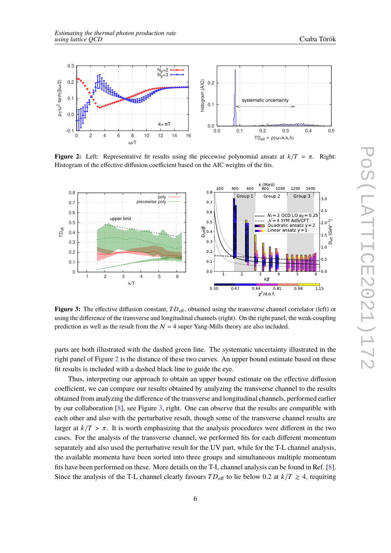<span id="page-5-0"></span>

<span id="page-5-1"></span>**Figure 2:** Left: Representative fit results using the piecewise polynomial ansatz at  $k/T = \pi$ . Right: Histogram of the effective diffusion coefficient based on the AIC weights of the fits.



**Figure 3:** The effective diffusion constant,  $TD_{\text{eff}}$ , obtained using the transverse channel correlator (left) or using the difference of the transverse and longitudinal channels (right). On the right panel, the weak-coupling prediction as well as the result from the  $N = 4$  super Yang-Mills theory are also included.

parts are both illustrated with the dashed green line. The systematic uncertainty illustrated in the right panel of Figure [2](#page-5-0) is the distance of these two curves. An upper bound estimate based on these fit results is included with a dashed black line to guide the eye.

Thus, interpreting our approach to obtain an upper bound estimate on the effective diffusion coefficient, we can compare our results obtained by analyzing the transverse channel to the results obtained from analyzing the difference of the transverse and longitudinal channels, performed earlier by our collaboration [\[8\]](#page-7-6), see Figure [3,](#page-5-1) right. One can observe that the results are compatible with each other and also with the perturbative result, though some of the transverse channel results are larger at  $k/T > \pi$ . It is worth emphasizing that the analysis procedures were different in the two cases. For the analysis of the transverse channel, we performed fits for each different momentum separately and also used the perturbative result for the UV part, while for the T-L channel analysis, the available momenta have been sorted into three groups and simultaneous multiple momentum fits have been performed on these. More details on the T-L channel analysis can be found in Ref. [\[8\]](#page-7-6). Since the analysis of the T-L channel clearly favours  $TD_{\text{eff}}$  to lie below 0.2 at  $k/T \ge 4$ , requiring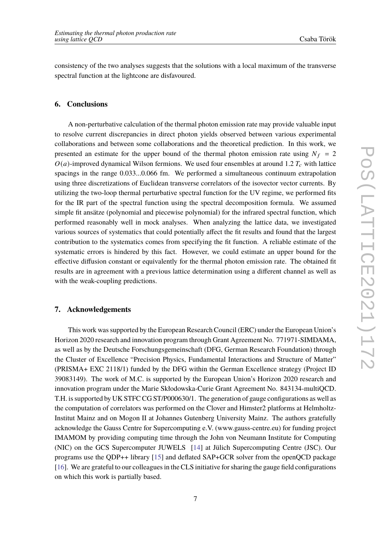consistency of the two analyses suggests that the solutions with a local maximum of the transverse spectral function at the lightcone are disfavoured.

## **6. Conclusions**

A non-perturbative calculation of the thermal photon emission rate may provide valuable input to resolve current discrepancies in direct photon yields observed between various experimental collaborations and between some collaborations and the theoretical prediction. In this work, we presented an estimate for the upper bound of the thermal photon emission rate using  $N_f = 2$  $O(a)$ -improved dynamical Wilson fermions. We used four ensembles at around 1.2  $T_c$  with lattice spacings in the range 0.033...0.066 fm. We performed a simultaneous continuum extrapolation using three discretizations of Euclidean transverse correlators of the isovector vector currents. By utilizing the two-loop thermal perturbative spectral function for the UV regime, we performed fits for the IR part of the spectral function using the spectral decomposition formula. We assumed simple fit ansätze (polynomial and piecewise polynomial) for the infrared spectral function, which performed reasonably well in mock analyses. When analyzing the lattice data, we investigated various sources of systematics that could potentially affect the fit results and found that the largest contribution to the systematics comes from specifying the fit function. A reliable estimate of the systematic errors is hindered by this fact. However, we could estimate an upper bound for the effective diffusion constant or equivalently for the thermal photon emission rate. The obtained fit results are in agreement with a previous lattice determination using a different channel as well as with the weak-coupling predictions.

#### **7. Acknowledgements**

This work was supported by the European Research Council (ERC) under the European Union's Horizon 2020 research and innovation program through Grant Agreement No. 771971-SIMDAMA, as well as by the Deutsche Forschungsgemeinschaft (DFG, German Research Foundation) through the Cluster of Excellence "Precision Physics, Fundamental Interactions and Structure of Matter" (PRISMA+ EXC 2118/1) funded by the DFG within the German Excellence strategy (Project ID 39083149). The work of M.C. is supported by the European Union's Horizon 2020 research and innovation program under the Marie Skłodowska-Curie Grant Agreement No. 843134-multiQCD. T.H. is supported by UK STFC CG ST/P000630/1. The generation of gauge configurations as well as the computation of correlators was performed on the Clover and Himster2 platforms at Helmholtz-Institut Mainz and on Mogon II at Johannes Gutenberg University Mainz. The authors gratefully acknowledge the Gauss Centre for Supercomputing e.V. (www.gauss-centre.eu) for funding project IMAMOM by providing computing time through the John von Neumann Institute for Computing (NIC) on the GCS Supercomputer JUWELS [\[14\]](#page-7-12) at Jülich Supercomputing Centre (JSC). Our programs use the QDP++ library [\[15\]](#page-8-1) and deflated SAP+GCR solver from the openQCD package [\[16\]](#page-8-2). We are grateful to our colleagues in the CLS initiative for sharing the gauge field configurations on which this work is partially based.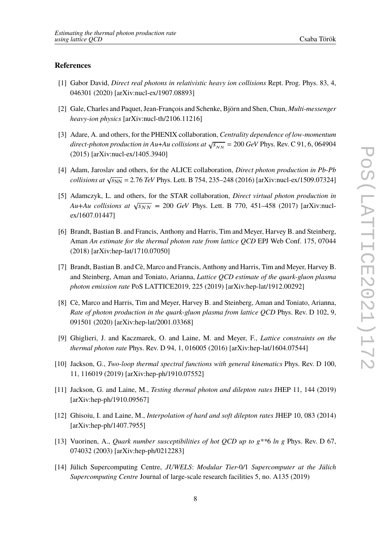#### **References**

- <span id="page-7-0"></span>[1] Gabor David, *Direct real photons in relativistic heavy ion collisions* Rept. Prog. Phys. 83, 4, 046301 (2020) [arXiv:nucl-ex/1907.08893]
- <span id="page-7-1"></span>[2] Gale, Charles and Paquet, Jean-François and Schenke, Björn and Shen, Chun, *Multi-messenger* heavy-ion physics [arXiv:nucl-th/2106.11216]
- <span id="page-7-2"></span>[3] Adare, A. and others, for the PHENIX collaboration, Centrality dependence of low-momentum direct-photon production in Au+Au collisions at  $\sqrt{s_{NN}}$  = 200 GeV Phys. Rev. C 91, 6, 064904 (2015) [arXiv:nucl-ex/1405.3940]
- <span id="page-7-3"></span>[4] Adam, Jaroslav and others, for the ALICE collaboration, *Direct photon production in Pb-Pb*  $\alpha$  collisions at  $\sqrt{s_{NN}}$  = 2.76 TeV Phys. Lett. B 754, 235–248 (2016) [arXiv:nucl-ex/1509.07324]
- <span id="page-7-4"></span>[5] Adamczyk, L. and others, for the STAR collaboration, Direct virtual photon production in Au+Au collisions at  $\sqrt{s_{NN}}$  = 200 GeV Phys. Lett. B 770, 451–458 (2017) [arXiv:nuclex/1607.01447]
- <span id="page-7-5"></span>[6] Brandt, Bastian B. and Francis, Anthony and Harris, Tim and Meyer, Harvey B. and Steinberg, Aman An estimate for the thermal photon rate from lattice QCD EPJ Web Conf. 175, 07044 (2018) [arXiv:hep-lat/1710.07050]
- [7] Brandt, Bastian B. and Cè, Marco and Francis, Anthony and Harris, Tim and Meyer, Harvey B. and Steinberg, Aman and Toniato, Arianna, *Lattice OCD estimate of the quark-gluon plasma* photon emission rate PoS LATTICE2019, 225 (2019) [arXiv:hep-lat/1912.00292]
- <span id="page-7-6"></span>[8] Cè, Marco and Harris, Tim and Meyer, Harvey B. and Steinberg, Aman and Toniato, Arianna, Rate of photon production in the quark-gluon plasma from lattice QCD Phys. Rev. D 102, 9, 091501 (2020) [arXiv:hep-lat/2001.03368]
- <span id="page-7-7"></span>[9] Ghiglieri, J. and Kaczmarek, O. and Laine, M. and Meyer, F., Lattice constraints on the thermal photon rate Phys. Rev. D 94, 1, 016005 (2016) [arXiv:hep-lat/1604.07544]
- <span id="page-7-8"></span>[10] Jackson, G., Two-loop thermal spectral functions with general kinematics Phys. Rev. D 100, 11, 116019 (2019) [arXiv:hep-ph/1910.07552]
- <span id="page-7-9"></span>[11] Jackson, G. and Laine, M., Testing thermal photon and dilepton rates JHEP 11, 144 (2019) [arXiv:hep-ph/1910.09567]
- <span id="page-7-10"></span>[12] Ghisoiu, I. and Laine, M., Interpolation of hard and soft dilepton rates JHEP 10, 083 (2014) [arXiv:hep-ph/1407.7955]
- <span id="page-7-11"></span>[13] Vuorinen, A., Quark number susceptibilities of hot QCD up to  $g^{**}6$  ln  $g$  Phys. Rev. D 67, 074032 (2003) [arXiv:hep-ph/0212283]
- <span id="page-7-12"></span>[14] Jülich Supercomputing Centre, JUWELS: Modular Tier-0/1 Supercomputer at the Jülich Supercomputing Centre Journal of large-scale research facilities 5, no. A135 (2019)